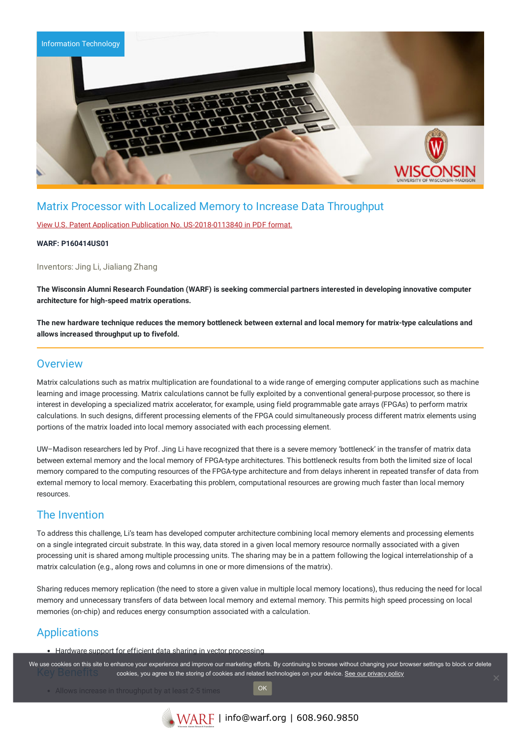

# Matrix Processor with Localized Memory to Increase Data Throughput

View U.S. Patent Application Publication No. [US-2018-0113840](https://www.warf.org/wp-content/uploads/technologies/pubapps/P160414US01-Published-Application.PDF) in PDF format.

#### **WARF: P160414US01**

Inventors: Jing Li, Jialiang Zhang

The Wisconsin Alumni Research Foundation (WARF) is seeking commercial partners interested in developing innovative computer **architecture for high-speed matrix operations.**

The new hardware technique reduces the memory bottleneck between external and local memory for matrix-type calculations and **allows increased throughput up to fivefold.**

### **Overview**

Matrix calculations such as matrix multiplication are foundational to a wide range of emerging computer applications such as machine learning and image processing. Matrix calculations cannot be fully exploited by a conventional general-purpose processor, so there is interest in developing a specialized matrix accelerator, for example, using field programmable gate arrays (FPGAs) to perform matrix calculations. In such designs, different processing elements of the FPGA could simultaneously process different matrix elements using portions of the matrix loaded into local memory associated with each processing element.

UW–Madison researchers led by Prof. Jing Li have recognized that there is a severe memory 'bottleneck' in the transfer of matrix data between external memory and the local memory of FPGA-type architectures. This bottleneck results from both the limited size of local memory compared to the computing resources of the FPGA-type architecture and from delays inherent in repeated transfer of data from external memory to local memory. Exacerbating this problem, computational resources are growing much faster than local memory resources.

### The Invention

To address this challenge, Li's team has developed computer architecture combining local memory elements and processing elements on a single integrated circuit substrate. In this way, data stored in a given local memory resource normally associated with a given processing unit is shared among multiple processing units. The sharing may be in a pattern following the logical interrelationship of a matrix calculation (e.g., along rows and columns in one or more dimensions of the matrix).

Sharing reduces memory replication (the need to store a given value in multiple local memory locations), thus reducing the need for local memory and unnecessary transfers of data between local memory and external memory. This permits high speed processing on local memories (on-chip) and reduces energy consumption associated with a calculation.

# Applications

Hardware support for efficient data sharing in vector processing

We use cookies on this site to enhance your experience and improve our marketing efforts. By continuing to browse without changing your browser settings to block or delete cookies, you agree to the storing of cookies and related technologies on your device. [See our privacy policy](https://www.warf.org/privacy-policy/)

OK

• Allows increase in throughput by at least 2-5 times